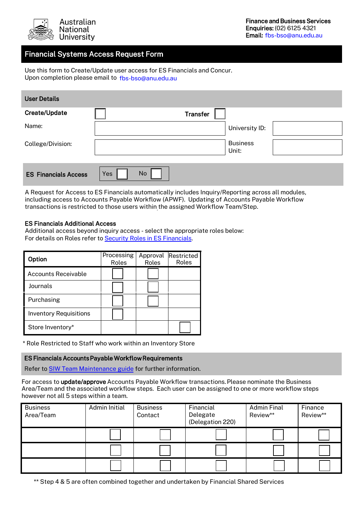

# Financial Systems Access Request Form

Use this form to Create/Update user access for ES Financials and Concur. Upon completion please email to fbs-bso@anu.edu.au

| <b>User Details</b>         |                          |
|-----------------------------|--------------------------|
| Create/Update               | <b>Transfer</b>          |
| Name:                       | University ID:           |
| College/Division:           | <b>Business</b><br>Unit: |
| <b>ES Financials Access</b> | No<br>Yes                |

A Request for Access to ES Financials automatically includes Inquiry/Reporting across all modules, including access to Accounts Payable Workflow (APWF). Updating of Accounts Payable Workflow transactions is restricted to those users within the assigned Workflow Team/Step.

#### ES Financials Additional Access

Additional access beyond inquiry access - select the appropriate roles below: For details on Roles refer to Security Roles in ES [Financials.](https://services.anu.edu.au/information-technology/software-systems/es-financials/security-roles-in-es-financials) 

| Option                        | Processing<br>Roles | Approval<br>Roles | Restricted<br>Roles |
|-------------------------------|---------------------|-------------------|---------------------|
| Accounts Receivable           |                     |                   |                     |
| Journals                      |                     |                   |                     |
| Purchasing                    |                     |                   |                     |
| <b>Inventory Requisitions</b> |                     |                   |                     |
| Store Inventory*              |                     |                   |                     |

\* Role Restricted to Staff who work within an Inventory Store

ES Financials Accounts Payable Workflow Requirements

Refer to [SIW Team Maintenance guide](https://services.anu.edu.au/system/files/user-guide/2015_Tip_SIW_TeamMaintenance.pdf) for further information.

For access to update/approve Accounts Payable Workflow transactions. Please nominate the Business Area/Team and the associated workflow steps. Each user can be assigned to one or more workflow steps however not all 5 steps within a team.

| <b>Business</b><br>Area/Team | Admin Initial | <b>Business</b><br>Contact | Financial<br>Delegate<br>(Delegation 220) | <b>Admin Final</b><br>Review** | Finance<br>Review** |
|------------------------------|---------------|----------------------------|-------------------------------------------|--------------------------------|---------------------|
|                              |               |                            |                                           |                                |                     |
|                              |               |                            |                                           |                                |                     |
|                              |               |                            |                                           |                                |                     |

\*\* Step 4 & 5 are often combined together and undertaken by Financial Shared Services